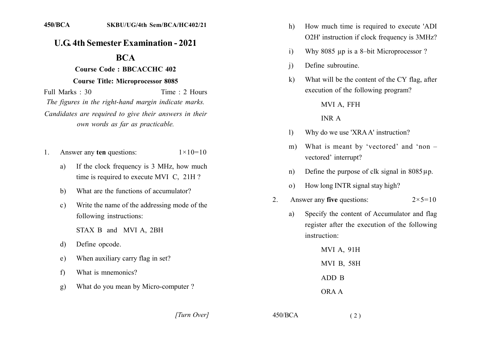## **U.G. 4th Semester Examination - 2021**

# **BCA**

### **Course Code: BBCACCHC 402**

#### **Course Title: Microprocessor 8085**

Time: 2 Hours Full Marks: 30 The figures in the right-hand margin indicate marks. Candidates are required to give their answers in their own words as far as practicable.

- Answer any ten questions:  $1 \times 10 = 10$ 1.
	- If the clock frequency is 3 MHz, how much a) time is required to execute MVI C, 21H?
	- What are the functions of accumulator? b)
	- Write the name of the addressing mode of the  $\mathbf{c}$ ) following instructions:
		- STAX B and MVI A, 2BH
	- Define opcode. d)
	- When auxiliary carry flag in set?  $e)$
	- $f$ What is mnemonics?
	- What do you mean by Micro-computer?  $g)$
- How much time is required to execute 'ADI  $h)$ O2H' instruction if clock frequency is 3MHz?
- Why 8085 up is a 8-bit Microprocessor?  $\mathbf{i}$
- Define subroutine  $\overline{1}$
- What will be the content of the CY flag, after  $\bf k$ execution of the following program?

#### MVI A, FFH

#### **INR A**

- Why do we use 'XRAA' instruction?  $\mathbf{D}$
- What is meant by 'vectored' and 'non  $m)$ vectored' interrupt?
- Define the purpose of clk signal in  $8085 \mu p$ .  $n)$
- How long INTR signal stay high?  $\Omega$ )
- Answer any five questions:  $2 \times 5 = 10$  $2^{\circ}$

 $(2)$ 

Specify the content of Accumulator and flag a) register after the execution of the following instruction:

**MVI A, 91H** MVI B, 58H ADD B ORA A

[Turn Over]

 $450/BCA$